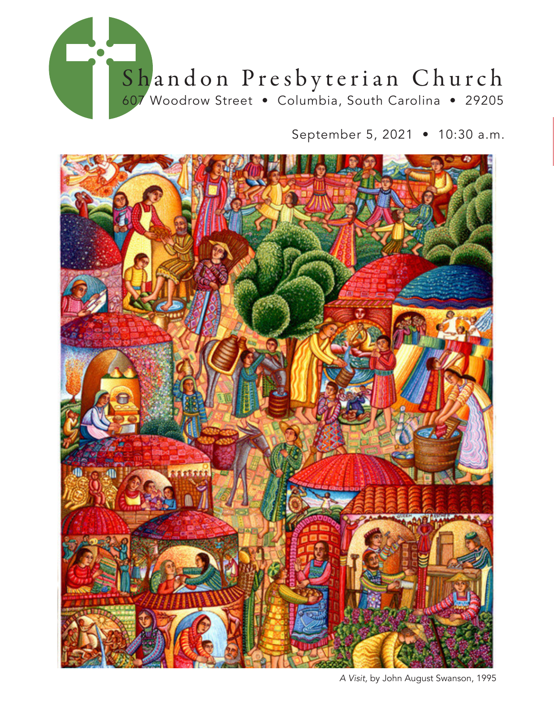

## September 5, 2021 • 10:30 a.m.



*A Visit,* by John August Swanson, 1995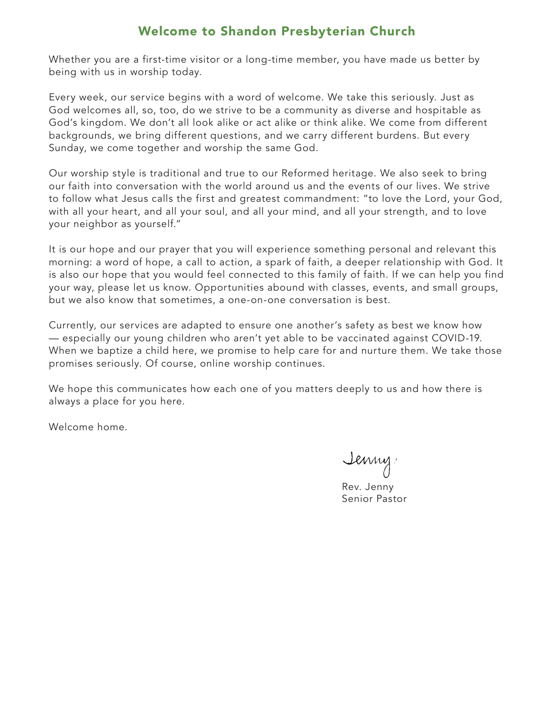### Welcome to Shandon Presbyterian Church

Whether you are a first-time visitor or a long-time member, you have made us better by being with us in worship today.

Every week, our service begins with a word of welcome. We take this seriously. Just as God welcomes all, so, too, do we strive to be a community as diverse and hospitable as God's kingdom. We don't all look alike or act alike or think alike. We come from different backgrounds, we bring different questions, and we carry different burdens. But every Sunday, we come together and worship the same God.

Our worship style is traditional and true to our Reformed heritage. We also seek to bring our faith into conversation with the world around us and the events of our lives. We strive to follow what Jesus calls the first and greatest commandment: "to love the Lord, your God, with all your heart, and all your soul, and all your mind, and all your strength, and to love your neighbor as yourself."

It is our hope and our prayer that you will experience something personal and relevant this morning: a word of hope, a call to action, a spark of faith, a deeper relationship with God. It is also our hope that you would feel connected to this family of faith. If we can help you find your way, please let us know. Opportunities abound with classes, events, and small groups, but we also know that sometimes, a one-on-one conversation is best.

Currently, our services are adapted to ensure one another's safety as best we know how — especially our young children who aren't yet able to be vaccinated against COVID-19. When we baptize a child here, we promise to help care for and nurture them. We take those promises seriously. Of course, online worship continues.

We hope this communicates how each one of you matters deeply to us and how there is always a place for you here.

Welcome home.

Jenny

Rev. Jenny Senior Pastor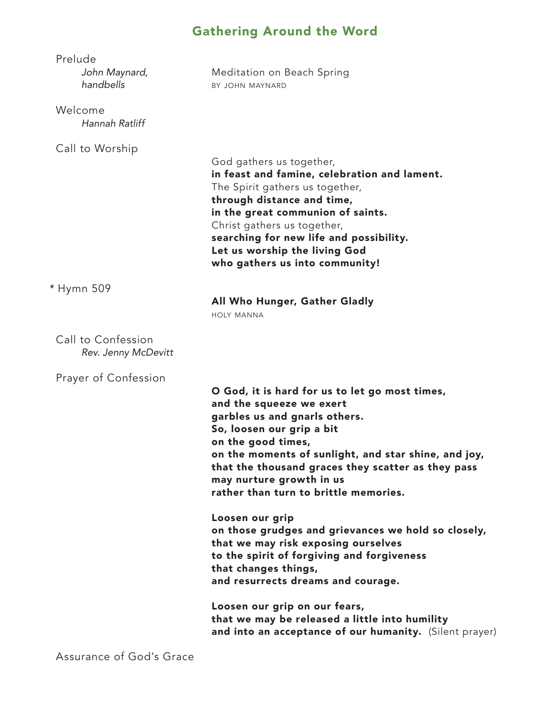# Gathering Around the Word

| Prelude | John Maynard,<br>handbells                | Meditation on Beach Spring<br>BY JOHN MAYNARD                                                                                                                                                                                                                                                                                                     |
|---------|-------------------------------------------|---------------------------------------------------------------------------------------------------------------------------------------------------------------------------------------------------------------------------------------------------------------------------------------------------------------------------------------------------|
|         | Welcome<br>Hannah Ratliff                 |                                                                                                                                                                                                                                                                                                                                                   |
|         | Call to Worship                           | God gathers us together,<br>in feast and famine, celebration and lament.<br>The Spirit gathers us together,<br>through distance and time,<br>in the great communion of saints.<br>Christ gathers us together,<br>searching for new life and possibility.<br>Let us worship the living God<br>who gathers us into community!                       |
|         | * Hymn 509                                | All Who Hunger, Gather Gladly<br><b>HOLY MANNA</b>                                                                                                                                                                                                                                                                                                |
|         | Call to Confession<br>Rev. Jenny McDevitt |                                                                                                                                                                                                                                                                                                                                                   |
|         | Prayer of Confession                      | O God, it is hard for us to let go most times,<br>and the squeeze we exert<br>garbles us and gnarls others.<br>So, loosen our grip a bit<br>on the good times,<br>on the moments of sunlight, and star shine, and joy,<br>that the thousand graces they scatter as they pass<br>may nurture growth in us<br>rather than turn to brittle memories. |
|         |                                           | Loosen our grip<br>on those grudges and grievances we hold so closely,<br>that we may risk exposing ourselves<br>to the spirit of forgiving and forgiveness<br>that changes things,<br>and resurrects dreams and courage.                                                                                                                         |
|         |                                           | Loosen our grip on our fears,<br>that we may be released a little into humility<br>and into an acceptance of our humanity. (Silent prayer)                                                                                                                                                                                                        |
|         |                                           |                                                                                                                                                                                                                                                                                                                                                   |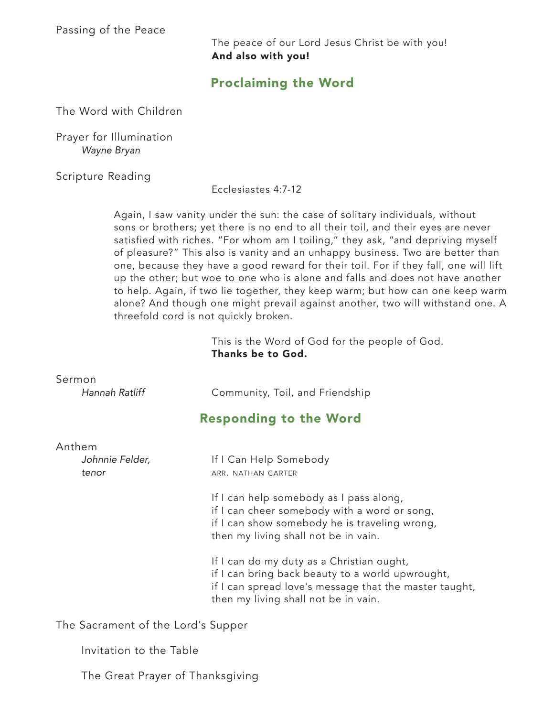Passing of the Peace

The peace of our Lord Jesus Christ be with you! And also with you!

## Proclaiming the Word

The Word with Children

 Prayer for Illumination *Wayne Bryan* 

Scripture Reading

Ecclesiastes 4:7-12

Again, I saw vanity under the sun: the case of solitary individuals, without sons or brothers; yet there is no end to all their toil, and their eyes are never satisfied with riches. "For whom am I toiling," they ask, "and depriving myself of pleasure?" This also is vanity and an unhappy business. Two are better than one, because they have a good reward for their toil. For if they fall, one will lift up the other; but woe to one who is alone and falls and does not have another to help. Again, if two lie together, they keep warm; but how can one keep warm alone? And though one might prevail against another, two will withstand one. A threefold cord is not quickly broken.

> This is the Word of God for the people of God. Thanks be to God.

| Sermon                             |                                                                                                                                                                                                 |  |
|------------------------------------|-------------------------------------------------------------------------------------------------------------------------------------------------------------------------------------------------|--|
| Hannah Ratliff                     | Community, Toil, and Friendship                                                                                                                                                                 |  |
|                                    | <b>Responding to the Word</b>                                                                                                                                                                   |  |
| Anthem                             |                                                                                                                                                                                                 |  |
| Johnnie Felder,                    | If I Can Help Somebody                                                                                                                                                                          |  |
| tenor                              | ARR. NATHAN CARTER                                                                                                                                                                              |  |
|                                    | If I can help somebody as I pass along,<br>if I can cheer somebody with a word or song,<br>if I can show somebody he is traveling wrong,<br>then my living shall not be in vain.                |  |
|                                    | If I can do my duty as a Christian ought,<br>if I can bring back beauty to a world upwrought,<br>if I can spread love's message that the master taught,<br>then my living shall not be in vain. |  |
| The Sacrament of the Lord's Supper |                                                                                                                                                                                                 |  |

ment of the Lord's Suppe

Invitation to the Table

The Great Prayer of Thanksgiving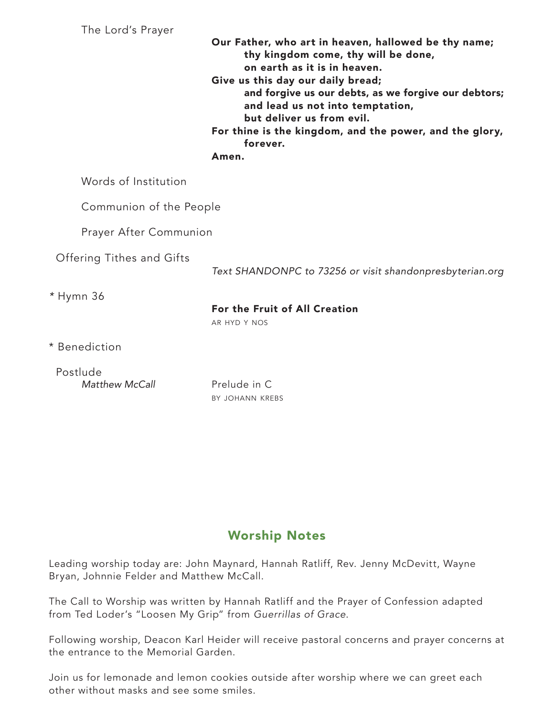The Lord's Prayer

 Our Father, who art in heaven, hallowed be thy name; thy kingdom come, thy will be done, on earth as it is in heaven. Give us this day our daily bread; and forgive us our debts, as we forgive our debtors; and lead us not into temptation, but deliver us from evil. For thine is the kingdom, and the power, and the glory, forever. Amen.

Words of Institution

Communion of the People

Prayer After Communion

Offering Tithes and Gifts

 *Text SHANDONPC to 73256 or visit shandonpresbyterian.org*

*\** Hymn 36

#### For the Fruit of All Creation

ar hyd y nos

\* Benediction

 Postlude *Matthew McCall* Prelude in C

by johann krebs

## Worship Notes

Leading worship today are: John Maynard, Hannah Ratliff, Rev. Jenny McDevitt, Wayne Bryan, Johnnie Felder and Matthew McCall.

The Call to Worship was written by Hannah Ratliff and the Prayer of Confession adapted from Ted Loder's "Loosen My Grip" from *Guerrillas of Grace*.

Following worship, Deacon Karl Heider will receive pastoral concerns and prayer concerns at the entrance to the Memorial Garden.

Join us for lemonade and lemon cookies outside after worship where we can greet each other without masks and see some smiles.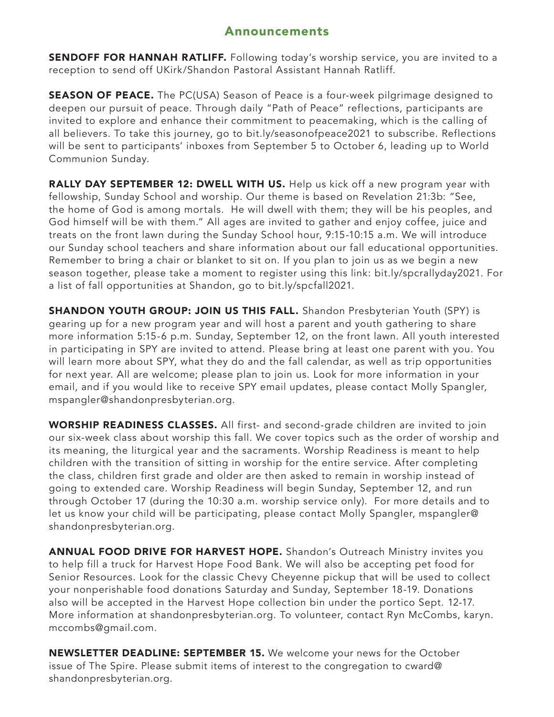#### Announcements

**SENDOFF FOR HANNAH RATLIFF.** Following today's worship service, you are invited to a reception to send off UKirk/Shandon Pastoral Assistant Hannah Ratliff.

**SEASON OF PEACE.** The PC(USA) Season of Peace is a four-week pilgrimage designed to deepen our pursuit of peace. Through daily "Path of Peace" reflections, participants are invited to explore and enhance their commitment to peacemaking, which is the calling of all believers. To take this journey, go to bit.ly/seasonofpeace2021 to subscribe. Reflections will be sent to participants' inboxes from September 5 to October 6, leading up to World Communion Sunday.

RALLY DAY SEPTEMBER 12: DWELL WITH US. Help us kick off a new program year with fellowship, Sunday School and worship. Our theme is based on Revelation 21:3b: "See, the home of God is among mortals. He will dwell with them; they will be his peoples, and God himself will be with them." All ages are invited to gather and enjoy coffee, juice and treats on the front lawn during the Sunday School hour, 9:15-10:15 a.m. We will introduce our Sunday school teachers and share information about our fall educational opportunities. Remember to bring a chair or blanket to sit on. If you plan to join us as we begin a new season together, please take a moment to register using this link: bit.ly/spcrallyday2021. For a list of fall opportunities at Shandon, go to bit.ly/spcfall2021.

SHANDON YOUTH GROUP: JOIN US THIS FALL. Shandon Presbyterian Youth (SPY) is gearing up for a new program year and will host a parent and youth gathering to share more information 5:15-6 p.m. Sunday, September 12, on the front lawn. All youth interested in participating in SPY are invited to attend. Please bring at least one parent with you. You will learn more about SPY, what they do and the fall calendar, as well as trip opportunities for next year. All are welcome; please plan to join us. Look for more information in your email, and if you would like to receive SPY email updates, please contact Molly Spangler, mspangler@shandonpresbyterian.org.

WORSHIP READINESS CLASSES. All first- and second-grade children are invited to join our six-week class about worship this fall. We cover topics such as the order of worship and its meaning, the liturgical year and the sacraments. Worship Readiness is meant to help children with the transition of sitting in worship for the entire service. After completing the class, children first grade and older are then asked to remain in worship instead of going to extended care. Worship Readiness will begin Sunday, September 12, and run through October 17 (during the 10:30 a.m. worship service only). For more details and to let us know your child will be participating, please contact Molly Spangler, mspangler@ shandonpresbyterian.org.

ANNUAL FOOD DRIVE FOR HARVEST HOPE. Shandon's Outreach Ministry invites you to help fill a truck for Harvest Hope Food Bank. We will also be accepting pet food for Senior Resources. Look for the classic Chevy Cheyenne pickup that will be used to collect your nonperishable food donations Saturday and Sunday, September 18-19. Donations also will be accepted in the Harvest Hope collection bin under the portico Sept. 12-17. More information at shandonpresbyterian.org. To volunteer, contact Ryn McCombs, karyn. mccombs@gmail.com.

NEWSLETTER DEADLINE: SEPTEMBER 15. We welcome your news for the October issue of The Spire. Please submit items of interest to the congregation to cward@ shandonpresbyterian.org.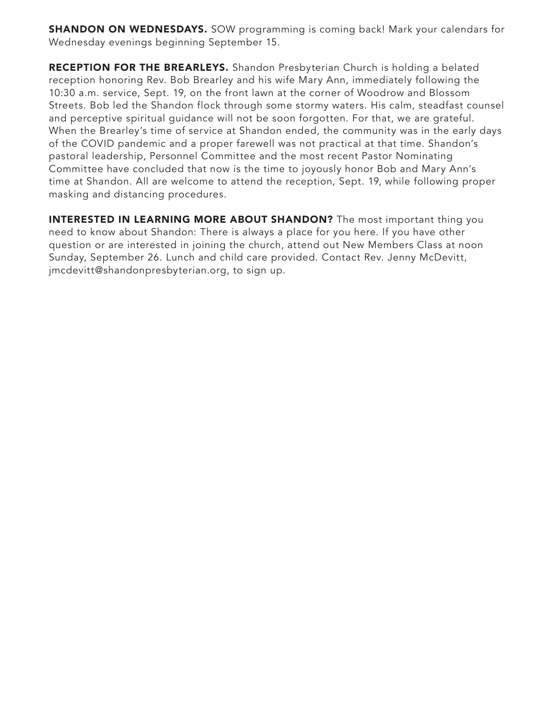**SHANDON ON WEDNESDAYS.** SOW programming is coming back! Mark your calendars for Wednesday evenings beginning September 15.

RECEPTION FOR THE BREARLEYS. Shandon Presbyterian Church is holding a belated reception honoring Rev. Bob Brearley and his wife Mary Ann, immediately following the 10:30 a.m. service, Sept. 19, on the front lawn at the corner of Woodrow and Blossom Streets. Bob led the Shandon flock through some stormy waters. His calm, steadfast counsel and perceptive spiritual guidance will not be soon forgotten. For that, we are grateful. When the Brearley's time of service at Shandon ended, the community was in the early days of the COVID pandemic and a proper farewell was not practical at that time. Shandon's pastoral leadership, Personnel Committee and the most recent Pastor Nominating Committee have concluded that now is the time to joyously honor Bob and Mary Ann's time at Shandon. All are welcome to attend the reception, Sept. 19, while following proper masking and distancing procedures.

INTERESTED IN LEARNING MORE ABOUT SHANDON? The most important thing you need to know about Shandon: There is always a place for you here. If you have other question or are interested in joining the church, attend out New Members Class at noon Sunday, September 26. Lunch and child care provided. Contact Rev. Jenny McDevitt, jmcdevitt@shandonpresbyterian.org, to sign up.